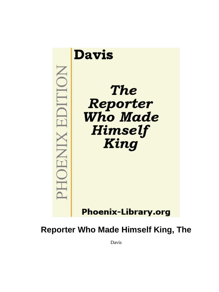

## **Reporter Who Made Himself King, The**

Davis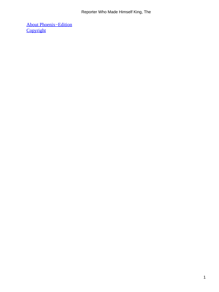[About Phoenix−Edition](#page-38-0) **[Copyright](#page-39-0)**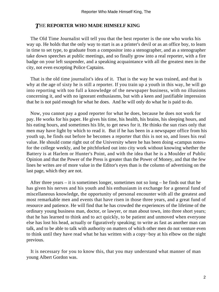## *T*HE **REPORTER WHO MADE HIMSELF KING**

 The Old Time Journalist will tell you that the best reporter is the one who works his way up. He holds that the only way to start is as a printer's devil or as an office boy, to learn in time to set type, to graduate from a compositor into a stenographer, and as a stenographer take down speeches at public meetings, and so finally grow into a real reporter, with a fire badge on your left suspender, and a speaking acquaintance with all the greatest men in the city, not even excepting Police Captains.

 That is the old time journalist's idea of it. That is the way he was trained, and that is why at the age of sixty he is still a reporter. If you train up a youth in this way, he will go into reporting with too full a knowledge of the newspaper business, with no illusions concerning it, and with no ignorant enthusiasms, but with a keen and justifiable impression that he is not paid enough for what he does. And he will only do what he is paid to do.

 Now, you cannot pay a good reporter for what he does, because he does not work for pay. He works for his paper. He gives his time, his health, his brains, his sleeping hours, and his eating hours, and sometimes his life, to get news for it. He thinks the sun rises only that men may have light by which to read it. But if he has been in a newspaper office from his youth up, he finds out before he becomes a reporter that this is not so, and loses his real value. He should come right out of the University where he has been doing «campus notes» for the college weekly, and be pitchforked out into city work without knowing whether the Battery is at Harlem or Hunter's Point, and with the idea that he is a Moulder of Public Opinion and that the Power of the Press is greater than the Power of Money, and that the few lines he writes are of more value in the Editor's eyes than is the column of advertising on the last page, which they are not.

 After three years – it is sometimes longer, sometimes not so long – he finds out that he has given his nerves and his youth and his enthusiasm in exchange for a general fund of miscellaneous knowledge, the opportunity of personal encounter with all the greatest and most remarkable men and events that have risen in those three years, and a great fund of resource and patience. He will find that he has crowded the experiences of the lifetime of the ordinary young business man, doctor, or lawyer, or man about town, into three short years; that he has learned to think and to act quickly, to be patient and unmoved when everyone else has lost his head, actually or figuratively speaking; to write as fast as another man can talk, and to be able to talk with authority on matters of which other men do not venture even to think until they have read what he has written with a copy−boy at his elbow on the night previous.

 It is necessary for you to know this, that you may understand what manner of man young Albert Gordon was.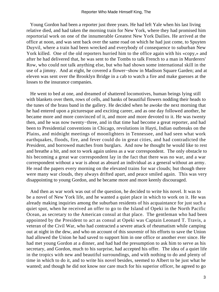Young Gordon had been a reporter just three years. He had left Yale when his last living relative died, and had taken the morning train for New York, where they had promised him reportorial work on one of the innumerable Greatest New York Dailies. He arrived at the office at noon, and was sent back over the same road on which he had just come, to Spuyten Duyvil, where a train had been wrecked and everybody of consequence to suburban New York killed. One of the old reporters hurried him to the office again with his «copy,» and after he had delivered that, he was sent to the Tombs to talk French to a man in Murderers' Row, who could not talk anything else, but who had shown some international skill in the use of a jimmy. And at eight, he covered a flower−show in Madison Square Garden; and at eleven was sent over the Brooklyn Bridge in a cab to watch a fire and make guesses at the losses to the insurance companies.

 He went to bed at one, and dreamed of shattered locomotives, human beings lying still with blankets over them, rows of cells, and banks of beautiful flowers nodding their heads to the tunes of the brass band in the gallery. He decided when he awoke the next morning that he had entered upon a picturesque and exciting career, and as one day followed another, he became more and more convinced of it, and more and more devoted to it. He was twenty then, and he was now twenty−three, and in that time had become a great reporter, and had been to Presidential conventions in Chicago, revolutions in Hayti, Indian outbreaks on the Plains, and midnight meetings of moonlighters in Tennessee, and had seen what work earthquakes, floods, fire, and fever could do in great cities, and had contradicted the President, and borrowed matches from burglars. And now he thought he would like to rest and breathe a bit, and not to work again unless as a war correspondent. The only obstacle to his becoming a great war correspondent lay in the fact that there was no war, and a war correspondent without a war is about as absurd an individual as a general without an army. He read the papers every morning on the elevated trains for war clouds; but though there were many war clouds, they always drifted apart, and peace smiled again. This was very disappointing to young Gordon, and he became more and more keenly discouraged.

 And then as war work was out of the question, he decided to write his novel. It was to be a novel of New York life, and he wanted a quiet place in which to work on it. He was already making inquiries among the suburban residents of his acquaintance for just such a quiet spot, when he received an offer to go to the Island of Opeki in the North Pacific Ocean, as secretary to the American consul at that place. The gentleman who had been appointed by the President to act as consul at Opeki was Captain Leonard T. Travis, a veteran of the Civil War, who had contracted a severe attack of rheumatism while camping out at night in the dew, and who on account of this souvenir of his efforts to save the Union had allowed the Union he had saved to support him in one office or another ever since. He had met young Gordon at a dinner, and had had the presumption to ask him to serve as his secretary, and Gordon, much to his surprise, had accepted his offer. The idea of a quiet life in the tropics with new and beautiful surroundings, and with nothing to do and plenty of time in which to do it, and to write his novel besides, seemed to Albert to be just what he wanted; and though he did not know nor care much for his superior officer, he agreed to go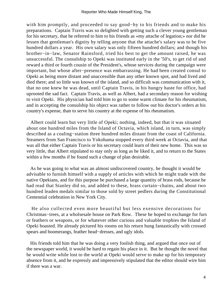with him promptly, and proceeded to say good−by to his friends and to make his preparations. Captain Travis was so delighted with getting such a clever young gentleman for his secretary, that he referred to him to his friends as «my attache of legation;» nor did he lessen that gentleman's dignity by telling anyone that the attache's salary was to be five hundred dollars a year. His own salary was only fifteen hundred dollars; and though his brother−in−law, Senator Rainsford, tried his best to get the amount raised, he was unsuccessful. The consulship to Opeki was instituted early in the '50's, to get rid of and reward a third or fourth cousin of the President's, whose services during the campaign were important, but whose after−presence was embarrassing. He had been created consul to Opeki as being more distant and unaccessible than any other known spot, and had lived and died there; and so little was known of the island, and so difficult was communication with it, that no one knew he was dead, until Captain Travis, in his hungry haste for office, had uprooted the sad fact. Captain Travis, as well as Albert, had a secondary reason for wishing to visit Opeki. His physician had told him to go to some warm climate for his rheumatism, and in accepting the consulship his object was rather to follow out his doctor's orders at his country's expense, than to serve his country at the expense of his rheumatism.

 Albert could learn but very little of Opeki; nothing, indeed, but that it was situated about one hundred miles from the Island of Octavia, which island, in turn, was simply described as a coaling−station three hundred miles distant from the coast of California. Steamers from San Francisco to Yokohama stopped every third week at Octavia, and that was all that either Captain Travis or his secretary could learn of their new home. This was so very little, that Albert stipulated to stay only as long as he liked it, and to return to the States within a few months if he found such a change of plan desirable.

 As he was going to what was an almost undiscovered country, he thought it would be advisable to furnish himself with a supply of articles with which he might trade with the native Opekians, and for this purpose he purchased a large quantity of brass rods, because he had read that Stanley did so, and added to these, brass curtain−chains, and about two hundred leaden medals similar to those sold by street pedlers during the Constitutional Centennial celebration in New York City.

 He also collected even more beautiful but less exensive decorations for Christmas−trees, at a wholsesale house on Park Row. These he hoped to exchange for furs or feathers or weapons, or for whatever other curious and valuable trophies the Island of Opeki boasted. He already pictured his rooms on his return hung fantastically with crossed spears and boomerangs, feather head−dresses, and ugly idols.

 His friends told him that he was doing a very foolish thing, and argued that once out of the newspaper world, it would be hard to regain his place in it. But he thought the novel that he would write while lost to the world at Opeki would serve to make up for his temporary absence from it, and he expressly and impressively stipulated that the editor should wire him if there was a war.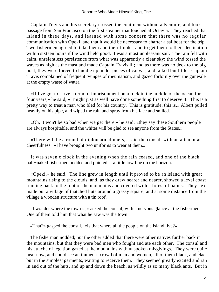Captain Travis and his secretary crossed the continent without adventure, and took passage from San Francisco on the first steamer that touched at Octavia. They reached that island in three days, and learned with some concern that there was no regular communication with Opeki, and that it would be necessary to charter a sailboat for the trip. Two fishermen agreed to take them and their trunks, and to get them to their destination within sixteen hours if the wind held good. It was a most unpleasant sail. The rain fell with calm, unrelentless persistence from what was apparently a clear sky; the wind tossed the waves as high as the mast and made Captain Travis ill; and as there was no deck to the big boat, they were forced to huddle up under pieces of canvas, and talked but little. Captain Travis complained of frequent twinges of rheumatism, and gazed forlornly over the gunwale at the empty waste of water.

 «If I've got to serve a term of imprisonment on a rock in the middle of the ocean for four years,» he said, «I might just as well have done something first to deserve it. This is a pretty way to treat a man who bled for his country. This is gratitude, this is.» Albert pulled heavily on his pipe, and wiped the rain and spray from his face and smiled.

 «Oh, it won't be so bad when we get there,» he said; «they say these Southern people are always hospitable, and the whites will be glad to see anyone from the States.»

 «There will be a round of diplomatic dinners,» said the consul, with an attempt at cheerfulness. «I have brought two uniforms to wear at them.»

 It was seven o'clock in the evening when the rain ceased, and one of the black, half−naked fishermen nodded and pointed at a little low line on the horizon.

 «Opeki,» he said. The line grew in length until it proved to be an island with great mountains rising to the clouds, and, as they drew nearer and nearer, showed a level coast running back to the foot of the mountains and covered with a forest of palms. They next made out a village of thatched huts around a grassy square, and at some distance from the village a wooden structure with a tin roof.

 «I wonder where the town is,» asked the consul, with a nervous glance at the fishermen. One of them told him that what he saw was the town.

«That?» gasped the consul. «Is that where all the people on the island live?»

 The fisherman nodded; but the other added that there were other natives further back in the mountains, but that they were bad men who fought and ate each other. The consul and his attache of legation gazed at the mountains with unspoken misgivings. They were quite near now, and could see an immense crowd of men and women, all of them black, and clad but in the simplest garments, waiting to receive them. They seemed greatly excited and ran in and out of the huts, and up and down the beach, as wildly as so many black ants. But in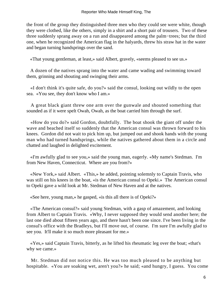the front of the group they distinguished three men who they could see were white, though they were clothed, like the others, simply in a shirt and a short pair of trousers. Two of these three suddenly sprang away on a run and disappeared among the palm−trees; but the third one, when he recognized the American flag in the halyards, threw his straw hat in the water and began turning handsprings over the sand.

«That young gentleman, at least,» said Albert, gravely, «seems pleased to see us.»

 A dozen of the natives sprang into the water and came wading and swimming toward them, grinning and shouting and swinging their arms.

 «I don't think it's quite safe, do you?» said the consul, looking out wildly to the open sea. «You see, they don't know who I am.»

 A great black giant threw one arm over the gunwale and shouted something that sounded as if it were spelt Owah, Owah, as the boat carried him through the surf.

 «How do you do?» said Gordon, doubtfully. The boat shook the giant off under the wave and beached itself so suddenly that the American consul was thrown forward to his knees. Gordon did not wait to pick him up, but jumped out and shook hands with the young man who had turned handsprings, while the natives gathered about them in a circle and chatted and laughed in delighted excitement.

 «I'm awfully glad to see you,» said the young man, eagerly. «My name's Stedman. I'm from New Haven, Connecticut. Where are you from?»

 «New York,» said Albert. «This,» he added, pointing solemnly to Captain Travis, who was still on his knees in the boat, «is the American consul to Opeki.» The American consul to Opeki gave a wild look at Mr. Stedman of New Haven and at the natives.

«See here, young man,» he gasped, «is this all there is of Opeki?»

 «The American consul?» said young Stedman, with a gasp of amazement, and looking from Albert to Captain Travis. «Why, I never supposed they would send another here; the last one died about fifteen years ago, and there hasn't been one since. I've been living in the consul's office with the Bradleys, but I'll move out, of course. I'm sure I'm awfully glad to see you. It'll make it so much more pleasant for me.»

 «Yes,» said Captain Travis, bitterly, as he lifted his rheumatic leg over the boat; «that's why we came.»

 Mr. Stedman did not notice this. He was too much pleased to be anything but hospitable. «You are soaking wet, aren't you?» he said; «and hungry, I guess. You come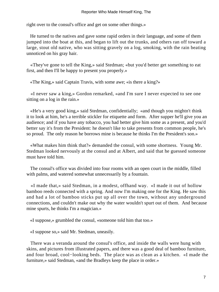right over to the consul's office and get on some other things.»

 He turned to the natives and gave some rapid orders in their language, and some of them jumped into the boat at this, and began to lift out the trunks, and others ran off toward a large, stout old native, who was sitting gravely on a log, smoking, with the rain beating unnoticed on his gray hair.

 «They've gone to tell the King,» said Stedman; «but you'd better get something to eat first, and then I'll be happy to present you properly.»

«The King,» said Captain Travis, with some awe; «is there a king?»

 «I never saw a king,» Gordon remarked, «and I'm sure I never expected to see one sitting on a log in the rain.»

 «He's a very good king,» said Stedman, confidentially; «and though you mightn't think it to look at him, he's a terrible stickler for etiquette and form. After supper he'll give you an audience; and if you have any tobacco, you had better give him some as a present, and you'd better say it's from the President: he doesn't like to take presents from common people, he's so proud. The only reason he borrows mine is because he thinks I'm the President's son.»

 «What makes him think that?» demanded the consul, with some shortness. Young Mr. Stedman looked nervously at the consul and at Albert, and said that he guessed someone must have told him.

 The consul's office was divided into four rooms with an open court in the middle, filled with palms, and watered somewhat unnecessarily by a fountain.

 «I made that,» said Stedman, in a modest, offhand way. «I made it out of hollow bamboo reeds connected with a spring. And now I'm making one for the King. He saw this and had a lot of bamboo sticks put up all over the town, without any underground connections, and couldn't make out why the water wouldn't spurt out of them. And because mine spurts, he thinks I'm a magician.»

«I suppose,» grumbled the consul, «someone told him that too.»

«I suppose so,» said Mr. Stedman, uneasily.

 There was a veranda around the consul's office, and inside the walls were hung with skins, and pictures from illustrated papers, and there was a good deal of bamboo furniture, and four broad, cool−looking beds. The place was as clean as a kitchen. «I made the furniture,» said Stedman, «and the Bradleys keep the place in order.»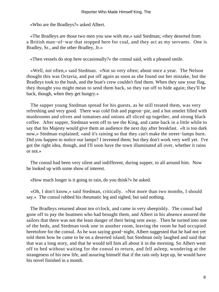«Who are the Bradleys?» asked Albert.

 «The Bradleys are those two men you saw with me,» said Stedman; «they deserted from a British man−of−war that stopped here for coal, and they act as my servants. One is Bradley, Sr., and the other Bradley, Jr.»

«Then vessels do stop here occasionally?» the consul said, with a pleased smile.

 «Well, not often,» said Stedman. «Not so very often; about once a year. The Nelson thought this was Octavia, and put off again as soon as she found out her mistake, but the Bradleys took to the bush, and the boat's crew couldn't find them. When they saw your flag, they thought you might mean to send them back, so they ran off to hide again; they'll be back, though, when they get hungry.»

 The supper young Stedman spread for his guests, as he still treated them, was very refreshing and very good. There was cold fish and pigeon−pie, and a hot omelet filled with mushrooms and olives and tomatoes and onions all sliced up together, and strong black coffee. After supper, Stedman went off to see the King, and came back in a little while to say that his Majesty would give them an audience the next day after breakfast. «It is too dark now,» Stedman explained; «and it's raining so that they can't make the street−lamps burn. Did you happen to notice our lamps? I invented them; but they don't work very well yet. I've got the right idea, though, and I'll soon have the town illuminated all over, whether it rains or not.»

 The consul had been very silent and indifferent, during supper, to all around him. Now he looked up with some show of interest.

«How much longer is it going to rain, do you think?» he asked.

 «Oh, I don't know,» said Stedman, critically. «Not more than two months, I should say.» The consul rubbed his rheumatic leg and sighed, but said nothing.

 The Bradleys returned about ten o'clock, and came in very sheepishly. The consul had gone off to pay the boatmen who had brought them, and Albert in his absence assured the sailors that there was not the least danger of their being sent away. Then he turned into one of the beds, and Stedman took one in another room, leaving the room he had occupied heretofore for the consul. As he was saying good−night, Albert suggested that he had not yet told them how he came to be on a deserted island; but Stedman only laughed and said that that was a long story, and that he would tell him all about it in the morning. So Albert went off to bed without waiting for the consul to return, and fell asleep, wondering at the strangeness of his new life, and assuring himself that if the rain only kept up, he would have his novel finished in a month.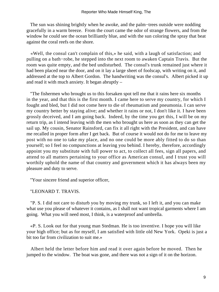The sun was shining brightly when he awoke, and the palm–trees outside were nodding gracefully in a warm breeze. From the court came the odor of strange flowers, and from the window he could see the ocean brilliantly blue, and with the sun coloring the spray that beat against the coral reefs on the shore.

 «Well, the consul can't complain of this,» he said, with a laugh of satisfaction; and pulling on a bath−robe, he stepped into the next room to awaken Captain Travis. But the room was quite empty, and the bed undisturbed. The consul's trunk remained just where it had been placed near the door, and on it lay a large sheet of foolscap, with writing on it, and addressed at the top to Albert Gordon. The handwriting was the consul's. Albert picked it up and read it with much anxiety. It began abruptly –

 "The fishermen who brought us to this forsaken spot tell me that it rains here six months in the year, and that this is the first month. I came here to serve my country, for which I fought and bled, but I did not come here to die of rheumatism and pneumonia. I can serve my country better by staying alive; and whether it rains or not, I don't like it. I have been grossly deceived, and I am going back. Indeed, by the time you get this, I will be on my return trip, as I intend leaving with the men who brought us here as soon as they can get the sail up. My cousin, Senator Rainsford, can fix it all right with the President, and can have me recalled in proper form after I get back. But of course it would not do for me to leave my post with no one to take my place, and no one could be more ably fitted to do so than yourself; so I feel no compunctions at leaving you behind. I hereby, therefore, accordingly appoint you my substitute with full power to act, to collect all fees, sign all papers, and attend to all matters pertaining to your office as American consul, and I trust you will worthily uphold the name of that country and government which it has always been my pleasure and duty to serve.

"Your sincere friend and superior officer,

## "LEONARD T. TRAVIS.

 "P. S. I did not care to disturb you by moving my trunk, so I left it, and you can make what use you please of whatever it contains, as I shall not want tropical garments where I am going. What you will need most, I think, is a waterproof and umbrella.

 «P. S. Look out for that young man Stedman. He is too inventive. I hope you will like your high office; but as for myself, I am satisfied with little old New York. Opeki is just a bit too far from civilization to suit me.»

 Albert held the letter before him and read it over again before he moved. Then he jumped to the window. The boat was gone, and there was not a sign of it on the horizon.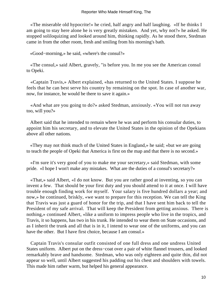«The miserable old hypocrite!» he cried, half angry and half laughing. «If he thinks I am going to stay here alone he is very greatly mistaken. And yet, why not?» he asked. He stopped soliloquizing and looked around him, thinking rapidly. As he stood there, Stedman came in from the other room, fresh and smiling from his morning's bath.

«Good−morning,» he said, «where's the consul?»

 «The consul,» said Albert, gravely, "is before you. In me you see the American consul to Opeki.

 «Captain Travis,» Albert explained, «has returned to the United States. I suppose he feels that he can best serve his country by remaining on the spot. In case of another war, now, for instance, he would be there to save it again.»

 «And what are you going to do?» asked Stedman, anxiously. «You will not run away too, will you?»

 Albert said that he intended to remain where he was and perform his consular duties, to appoint him his secretary, and to elevate the United States in the opinion of the Opekians above all other nations.

 «They may not think much of the United States in England,» he said; «but we are going to teach the people of Opeki that America is first on the map and that there is no second.»

 «I'm sure it's very good of you to make me your secretary,» said Stedman, with some pride. «I hope I won't make any mistakes. What are the duties of a consul's secretary?»

 «That,» said Albert, «I do not know. But you are rather good at inventing, so you can invent a few. That should be your first duty and you should attend to it at once. I will have trouble enough finding work for myself. Your salary is five hundred dollars a year; and now,» he continued, briskly, «we want to prepare for this reception. We can tell the King that Travis was just a guard of honor for the trip, and that I have sent him back to tell the President of my safe arrival. That will keep the President from getting anxious. There is nothing,» continued Albert, «like a uniform to impress people who live in the tropics, and Travis, it so happens, has two in his trunk. He intended to wear them on State occasions, and as I inherit the trunk and all that is in it, I intend to wear one of the uniforms, and you can have the other. But I have first choice, because I am consul.»

 Captain Travis's consular outfit consisted of one full dress and one undress United States uniform. Albert put on the dress−coat over a pair of white flannel trousers, and looked remarkably brave and handsome. Stedman, who was only eighteen and quite thin, did not appear so well, until Albert suggested his padding out his chest and shoulders with towels. This made him rather warm, but helped his general appearance.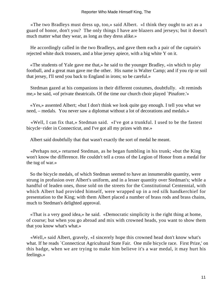«The two Bradleys must dress up, too,» said Albert. «I think they ought to act as a guard of honor, don't you? The only things I have are blazers and jerseys; but it doesn't much matter what they wear, as long as they dress alike.»

 He accordingly called in the two Bradleys, and gave them each a pair of the captain's rejected white duck trousers, and a blue jersey apiece, with a big white Y on it.

 «The students of Yale gave me that,» he said to the younger Bradley, «in which to play football, and a great man gave me the other. His name is Walter Camp; and if you rip or soil that jersey, I'll send you back to England in irons; so be careful.»

 Stedman gazed at his companions in their different costumes, doubtfully. «It reminds me,» he said, «of private theatricals. Of the time our church choir played `Pinafore.'»

 «Yes,» assented Albert; «but I don't think we look quite gay enough. I tell you what we need, – medals. You never saw a diplomat without a lot of decorations and medals.»

 «Well, I can fix that,» Stedman said. «I've got a trunkful. I used to be the fastest bicycle−rider in Connecticut, and I've got all my prizes with me.»

Albert said doubtfully that that wasn't exactly the sort of medal he meant.

 «Perhaps not,» returned Stedman, as he began fumbling in his trunk; «but the King won't know the difference. He couldn't tell a cross of the Legion of Honor from a medal for the tug of war.»

 So the bicycle medals, of which Stedman seemed to have an innumerable quantity, were strung in profusion over Albert's uniform, and in a lesser quantity over Stedman's; while a handful of leaden ones, those sold on the streets for the Constitutional Centennial, with which Albert had provided himself, were wrapped up in a red silk handkerchief for presentation to the King; with them Albert placed a number of brass rods and brass chains, much to Stedman's delighted approval.

 «That is a very good idea,» he said. «Democratic simplicity is the right thing at home, of course; but when you go abroad and mix with crowned heads, you want to show them that you know what's what.»

 «Well,» said Albert, gravely, «I sincerely hope this crowned head don't know what's what. If he reads `Connecticut Agricultural State Fair. One mile bicycle race. First Prize,' on this badge, when we are trying to make him believe it's a war medal, it may hurt his feelings.»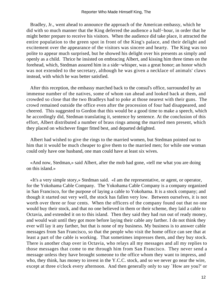Bradley, Jr., went ahead to announce the approach of the American embassy, which he did with so much manner that the King deferred the audience a half−hour, in order that he might better prepare to receive his visitors. When the audience did take place, it attracted the entire population to the green spot in front of the King's palace, and their delight and excitement over the appearance of the visitors was sincere and hearty. The King was too polite to appear much surprised, but he showed his delight over his presents as simply and openly as a child. Thrice he insisted on embracing Albert, and kissing him three times on the forehead, which, Stedman assured him in a side−whisper, was a great honor; an honor which was not extended to the secretary, although he was given a necklace of animals' claws instead, with which he was better satisfied.

 After this reception, the embassy marched back to the consul's office, surrounded by an immense number of the natives, some of whom ran ahead and looked back at them, and crowded so close that the two Bradleys had to poke at those nearest with their guns. The crowd remained outside the office even after the procession of four had disappeared, and cheered. This suggested to Gordon that this would be a good time to make a speech, which he accordingly did, Stedman translating it, sentence by sentence. At the conclusion of this effort, Albert distributed a number of brass rings among the married men present, which they placed on whichever finger fitted best, and departed delighted.

 Albert had wished to give the rings to the married women, but Stedman pointed out to him that it would be much cheaper to give them to the married men; for while one woman could only have one husband, one man could have at least six wives.

 «And now, Stedman,» said Albert, after the mob had gone, «tell me what you are doing on this island.»

 «It's a very simple story,» Stedman said. «I am the representative, or agent, or operator, for the Yokohama Cable Company. The Yokohama Cable Company is a company organized in San Francisco, for the purpose of laying a cable to Yokohama. It is a stock company; and though it started out very well, the stock has fallen very low. Between ourselves, it is not worth over three or four cents. When the officers of the company found out that no one would buy their stock, and that no one believed in them or their scheme, they laid a cable to Octavia, and extended it on to this island. Then they said they had run out of ready money, and would wait until they got more before laying their cable any farther. I do not think they ever will lay it any farther, but that is none of my business. My business is to answer cable messages from San Francisco, so that the people who visit the home office can see that at least a part of the cable is working. That sometimes impresses them, and they buy stock. There is another chap over in Octavia, who relays all my messages and all my replies to those messages that come to me through him from San Francisco. They never send a message unless they have brought someone to the office whom they want to impress, and who, they think, has money to invest in the Y.C.C. stock, and so we never go near the wire, except at three o'clock every afternoon. And then generally only to say `How are you?' or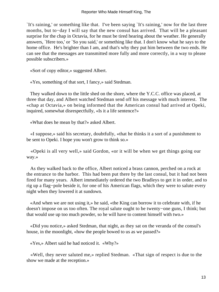`It's raining,' or something like that. I've been saying `It's raining,' now for the last three months, but to−day I will say that the new consul has arrived. That will be a pleasant surprise for the chap in Octavia, for he must be tired hearing about the weather. He generally answers, `Here too,' or `So you said,' or something like that. I don't know what he says to the home office. He's brighter than I am, and that's why they put him between the two ends. He can see that the messages are transmitted more fully and more correctly, in a way to please possible subscribers.»

«Sort of copy editor,» suggested Albert.

«Yes, something of that sort, I fancy,» said Stedman.

 They walked down to the little shed on the shore, where the Y.C.C. office was placed, at three that day, and Albert watched Stedman send off his message with much interest. The «chap at Octavia,» on being informed that the American consul had arrived at Opeki, inquired, somewhat disrespectfully, «Is it a life sentence?»

«What does he mean by that?» asked Albert.

 «I suppose,» said his secretary, doubtfully, «that he thinks it a sort of a punishment to be sent to Opeki. I hope you won't grow to think so.»

 «Opeki is all very well,» said Gordon, «or it will be when we get things going our way.»

 As they walked back to the office, Albert noticed a brass cannon, perched on a rock at the entrance to the harbor. This had been put there by the last consul, but it had not been fired for many years. Albert immediately ordered the two Bradleys to get it in order, and to rig up a flag−pole beside it, for one of his American flags, which they were to salute every night when they lowered it at sundown.

 «And when we are not using it,» he said, «the King can borrow it to celebrate with, if he doesn't impose on us too often. The royal salute ought to be twenty−one guns, I think; but that would use up too much powder, so he will have to content himself with two.»

 «Did you notice,» asked Stedman, that night, as they sat on the veranda of the consul's house, in the moonlight, «how the people bowed to us as we passed?»

«Yes,» Albert said he had noticed it. «Why?»

 «Well, they never saluted me,» replied Stedman. «That sign of respect is due to the show we made at the reception.»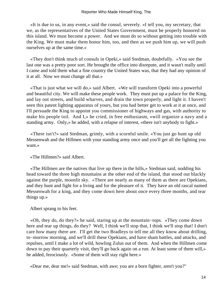«It is due to us, in any event,» said the consul, severely. «I tell you, my secretary, that we, as the representatives of the United States Government, must be properly honored on this island. We must become a power. And we must do so without getting into trouble with the King. We must make them honor him, too, and then as we push him up, we will push ourselves up at the same time.»

 «They don't think much of consuls in Opeki,» said Stedman, doubtfully. «You see the last one was a pretty poor sort. He brought the office into disrepute, and it wasn't really until I came and told them what a fine country the United States was, that they had any opinion of it at all. Now we must change all that.»

 «That is just what we will do,» said Albert. «We will transform Opeki into a powerful and beautiful city. We will make these people work. They must put up a palace for the King, and lay out streets, and build wharves, and drain the town properly, and light it. I haven't seen this patent lighting apparatus of yours, but you had better get to work at it at once, and I'll persuade the King to appoint you commissioner of highways and gas, with authority to make his people toil. And I,» he cried, in free enthusiasm, «will organize a navy and a standing army. Only,» he added, with a relapse of interest, «there isn't anybody to fight.»

 «There isn't?» said Stedman, grimly, with a scornful smile. «You just go hunt up old Messenwah and the Hillmen with your standing army once and you'll get all the fighting you want.»

«The Hillmen?» said Albert.

 «The Hillmen are the natives that live up there in the hills,» Stedman said, nodding his head toward the three high mountains at the other end of the island, that stood out blackly against the purple, moonlit sky. «There are nearly as many of them as there are Opekians, and they hunt and fight for a living and for the pleasure of it. They have an old rascal named Messenwah for a king, and they come down here about once every three months, and tear things up.»

Albert sprang to his feet.

 «Oh, they do, do they?» he said, staring up at the mountain−tops. «They come down here and tear up things, do they? Well, I think we'll stop that, I think we'll stop that! I don't care how many there are. I'll get the two Bradleys to tell me all they know about drilling, to−morrow morning, and we'll drill these Opekians, and have sham battles, and attacks, and repulses, until I make a lot of wild, howling Zulus out of them. And when the Hillmen come down to pay their quarterly visit, they'll go back again on a run. At least some of them will,» he added, ferociously. «Some of them will stay right here.»

«Dear me, dear me!» said Stedman, with awe; you are a born fighter, aren't you?"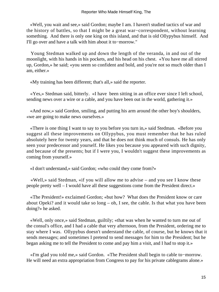«Well, you wait and see,» said Gordon; maybe I am. I haven't studied tactics of war and the history of battles, so that I might be a great war−correspondent, without learning something. And there is only one king on this island, and that is old Ollypybus himself. And I'll go over and have a talk with him about it to−morrow."

 Young Stedman walked up and down the length of the veranda, in and out of the moonlight, with his hands in his pockets, and his head on his chest. «You have me all stirred up, Gordon,» he said; «you seem so confident and bold, and you're not so much older than I am, either.»

«My training has been different; that's all,» said the reporter.

 «Yes,» Stedman said, bitterly. «I have been sitting in an office ever since I left school, sending news over a wire or a cable, and you have been out in the world, gathering it.»

 «And now,» said Gordon, smiling, and putting his arm around the other boy's shoulders, «we are going to make news ourselves.»

 «There is one thing I want to say to you before you turn in,» said Stedman. «Before you suggest all these improvements on Ollypybus, you must remember that he has ruled absolutely here for twenty years, and that he does not think much of consuls. He has only seen your predecessor and yourself. He likes you because you appeared with such dignity, and because of the presents; but if I were you, I wouldn't suggest these improvements as coming from yourself.»

«I don't understand,» said Gordon; «who could they come from?»

 «Well,» said Stedman, «if you will allow me to advise – and you see I know these people pretty well – I would have all these suggestions come from the President direct.»

 «The President!» exclaimed Gordon; «but how? What does the President know or care about Opeki? and it would take so long – oh, I see, the cable. Is that what you have been doing?» he asked.

 «Well, only once,» said Stedman, guiltily; «that was when he wanted to turn me out of the consul's office, and I had a cable that very afternoon, from the President, ordering me to stay where I was. Ollypybus doesn't understand the cable, of course, but he knows that it sends messages; and sometimes I pretend to send messages for him to the President; but he began asking me to tell the President to come and pay him a visit, and I had to stop it.»

 «I'm glad you told me,» said Gordon. «The President shall begin to cable to−morrow. He will need an extra appropriation from Congress to pay for his private cablegrams alone.»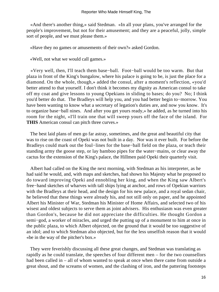«And there's another thing,» said Stedman. «In all your plans, you've arranged for the people's improvement, but not for their amusement; and they are a peaceful, jolly, simple sort of people, and we must please them.»

«Have they no games or amusements of their own?» asked Gordon.

«Well, not what we would call games.»

 «Very well, then, I'll teach them base−ball. Foot−ball would be too warm. But that plaza in front of the King's bungalow, where his palace is going to be, is just the place for a diamond. On the whole, though,» added the consul, after a moment's reflection, «you'd better attend to that yourself. I don't think it becomes my dignity as American consul to take off my coat and give lessons to young Opekians in sliding to bases; do you? No; I think you'd better do that. The Bradleys will help you, and you had better begin to−morrow. You have been wanting to know what a secretary of legation's duties are, and now you know. It's to organize base−ball nines. And after you get yours ready,» he added, as he turned into his room for the night, «I'll train one that will sweep yours off the face of the island. For **THIS** American consul can pitch three curves.»

 The best laid plans of men go far astray, sometimes, and the great and beautiful city that was to rise on the coast of Opeki was not built in a day. Nor was it ever built. For before the Bradleys could mark out the foul−lines for the base−ball field on the plaza, or teach their standing army the goose step, or lay bamboo pipes for the water−mains, or clear away the cactus for the extension of the King's palace, the Hillmen paid Opeki their quarterly visit.

 Albert had called on the King the next morning, with Stedman as his interpreter, as he had said he would, and, with maps and sketches, had shown his Majesty what he proposed to do toward improving Opeki and ennobling her king, and when the King saw Albert's free−hand sketches of wharves with tall ships lying at anchor, and rows of Opekian warriors with the Bradleys at their head, and the design for his new palace, and a royal sedan chair, he believed that these things were already his, and not still only on paper, and he appointed Albert his Minister of War, Stedman his Minister of Home Affairs, and selected two of his wisest and oldest subjects to serve them as joint advisers. His enthusiasm was even greater than Gordon's, because he did not appreciate the difficulties. He thought Gordon a semi−god, a worker of miracles, and urged the putting up of a monument to him at once in the public plaza, to which Albert objected, on the ground that it would be too suggestive of an idol; and to which Stedman also objected, but for the less unselfish reason that it would «be in the way of the pitcher's box.»

 They were feverishly discussing all these great changes, and Stedman was translating as rapidly as he could translate, the speeches of four different men – for the two counsellors had been called in – all of whom wanted to speak at once when there came from outside a great shout, and the screams of women, and the clashing of iron, and the pattering footsteps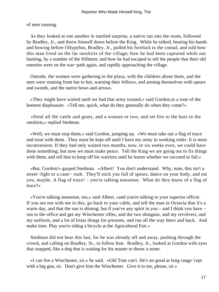of men running.

 As they looked at one another in startled surprise, a native ran into the room, followed by Bradley, Jr., and threw himself down before the King. While he talked, beating his hands and bowing before Ollypybus, Bradley, Jr., pulled his forelock to the consul, and told how this man lived on the far outskirts of the village; how he had been captured while out hunting, by a number of the Hillmen; and how he had escaped to tell the people that their old enemies were on the war−path again, and rapidly approaching the village.

 Outside, the women were gathering in the plaza, with the children about them, and the men were running from hut to hut, warning their fellows, and arming themselves with spears and swords, and the native bows and arrows.

 «They might have waited until we had that army trained,» said Gordon,in a tone of the keenest displeasure. «Tell me, quick, what do they generally do when they come?»

 «Steal all the cattle and goats, and a woman or two, and set fire to the huts in the outskirts,» replied Stedman.

 «Well, we must stop them,» said Gordon, jumping up. «We must take out a flag of truce and treat with them. They must be kept off until I have my army in working order. It is most inconvenient. If they had only waited two months, now, or six weeks even, we could have done something; but now we must make peace. Tell the King we are going out to fix things with them, and tell him to keep off his warriors until he learns whether we succeed or fail.»

 «But, Gordon!» gasped Stedman. «Albert! You don't understand. Why, man, this isn't a street−fight or a cane− rush. They'll stick you full of spears, dance on your body, and eat you, maybe. A flag of truce! – you're talking nonsense. What do they know of a flag of truce?»

 «You're talking nonsense, too,» said Albert, «and you're talking to your superior officer. If you are not with me in this, go back to your cable, and tell the man in Octavia that it's a warm day, and that the sun is shining; but if you've any spirit in you – and I think you have – run to the office and get my Winchester rifles, and the two shotguns, and my revolvers, and my uniform, and a lot of brass things for presents, and run all the way there and back. And make time. Play you're riding a bicycle at the Agricultural Fair.»

 Stedman did not hear this last, for he was already off and away, pushing through the crowd, and calling on Bradley, Sr., to follow him. Bradley, Jr., looked at Gordon with eyes that snapped, like a dog that is waiting for his master to throw a stone.

 «I can fire a Winchester, sir,» he said. «Old Tom can't. He's no good at long range 'cept with a big gun, sir. Don't give him the Winchester. Give it to me, please, sir.»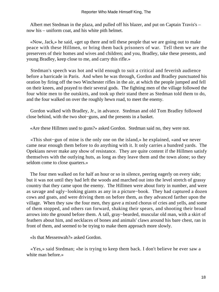Albert met Stedman in the plaza, and pulled off his blazer, and put on Captain Travis's – now his – uniform coat, and his white pith helmet.

 «Now, Jack,» he said, «get up there and tell these people that we are going out to make peace with these Hillmen, or bring them back prisoners of war. Tell them we are the preservers of their homes and wives and children; and you, Bradley, take these presents, and young Bradley, keep close to me, and carry this rifle.»

 Stedman's speech was hot and wild enough to suit a critical and feverish audience before a barricade in Paris. And when he was through, Gordon and Bradley punctuated his oration by firing off the two Winchester rifles in the air, at which the people jumped and fell on their knees, and prayed to their several gods. The fighting men of the village followed the four white men to the outskirts, and took up their stand there as Stedman told them to do, and the four walked on over the roughly hewn road, to meet the enemy.

 Gordon walked with Bradley, Jr., in advance. Stedman and old Tom Bradley followed close behind, with the two shot−guns, and the presents in a basket.

«Are these Hillmen used to guns?» asked Gordon. Stedman said no, they were not.

 «This shot−gun of mine is the only one on the island,» he explained, «and we never came near enough them before to do anything with it. It only carries a hundred yards. The Opekians never make any show of resistance. They are quite content if the Hillmen satisfy themselves with the outlying huts, as long as they leave them and the town alone; so they seldom come to close quarters.»

 The four men walked on for half an hour or so in silence, peering eagerly on every side; but it was not until they had left the woods and marched out into the level stretch of grassy country that they came upon the enemy. The Hillmen were about forty in number, and were as savage and ugly−looking giants as any in a picture−book. They had captured a dozen cows and goats, and were driving them on before them, as they advanced farther upon the village. When they saw the four men, they gave a mixed chorus of cries and yells, and some of them stopped, and others ran forward, shaking their spears, and shooting their broad arrows into the ground before them. A tall, gray−bearded, muscular old man, with a skirt of feathers about him, and necklaces of bones and animals' claws around his bare chest, ran in front of them, and seemed to be trying to make them approach more slowly.

«Is that Messenwah?» asked Gordon.

 «Yes,» said Stedman; «he is trying to keep them back. I don't believe he ever saw a white man before.»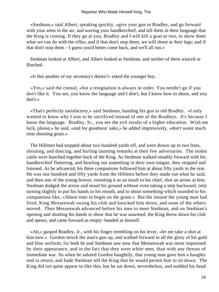«Stedman,» said Albert, speaking quickly, «give your gun to Bradley, and go forward with your arms in the air, and waving your handkerchief, and tell them in their language that the King is coming. If they go at you, Bradley and I will kill a goat or two, to show them what we can do with the rifles; and if that don't stop them, we will shoot at their legs; and if that don't stop them – I guess you'd better come back, and we'll all run.»

 Stedman looked at Albert, and Albert looked at Stedman, and neither of them winced or flinched.

«Is this another of my secretary's duties?» asked the younger boy.

 «Yes,» said the consul; «but a resignation is always in order. You needn't go if you don't like it. You see, you know the language and I don't, but I know how to shoot, and you don't.»

 «That's perfectly satisfactory,» said Stedman, handing his gun to old Bradley. «I only wanted to know why I was to be sacrificed instead of one of the Bradleys. It's because I know the language. Bradley, Sr., you see the evil results of a higher education. Wish me luck, please,» he said, «and for goodness' sake,» he added impressively, «don't waste much time shooting goats.»

 The Hillmen had stopped about two hundred yards off, and were drawn up in two lines, shouting, and dancing, and hurling taunting remarks at their few adversaries. The stolen cattle were bunched together back of the King. As Stedman walked steadily forward with his handkerchief fluttering, and howling out something in their own tongue, they stopped and listened. As he advanced, his three companions followed him at about fifty yards in the rear. He was one hundred and fifty yards from the Hillmen before they made out what he said, and then one of the young braves, resenting it as an insult to his chief, shot an arrow at him. Stedman dodged the arrow and stood his ground without even taking a step backward, only turning slightly to put his hands to his mouth, and to shout something which sounded to his companions like, «About time to begin on the goats.» But the instant the young man had fired, King Messenwah swung his club and knocked him down, and none of the others moved. Then Messenwah advanced before his men to meet Stedman, and on Stedman's opening and shutting his hands to show that he was unarmed, the King threw down his club and spears, and came forward as empty−handed as himself.

 «Ah,» gasped Bradley, Jr., with his finger trembling on his lever, «let me take a shot at him now.» Gordon struck the man's gun up, and walked forward in all the glory of his gold and blue uniform; for both he and Stedman saw now that Messenwah was more impressed by their appearance, and in the fact that they were white men, than with any threats of immediate war. So when he saluted Gordon haughtily, that young man gave him a haughty nod in return, and bade Stedman tell the King that he would permit him to sit down. The King did not quite appear to like this, but he sat down, nevertheless, and nodded his head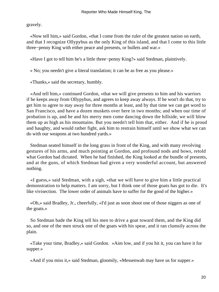gravely.

 «Now tell him,» said Gordon, «that I come from the ruler of the greatest nation on earth, and that I recognize Ollypybus as the only King of this island, and that I come to this little three−penny King with either peace and presents, or bullets and war.»

«Have I got to tell him he's a little three−penny King?» said Stedman, plaintively.

« No; you needn't give a literal translation; it can be as free as you please.»

«Thanks,» said the secretary, humbly.

 «And tell him,» continued Gordon, «that we will give presents to him and his warriors if he keeps away from Ollypybus, and agrees to keep away always. If he won't do that, try to get him to agree to stay away for three months at least, and by that time we can get word to San Francisco, and have a dozen muskets over here in two months; and when our time of probation is up, and he and his merry men come dancing down the hillside, we will blow them up as high as his mountains. But you needn't tell him that, either. And if he is proud and haughty, and would rather fight, ask him to restrain himself until we show what we can do with our weapons at two hundred yards.»

 Stedman seated himself in the long grass in front of the King, and with many revolving gestures of his arms, and much pointing at Gordon, and profound nods and bows, retold what Gordon had dictated. When he had finished, the King looked at the bundle of presents, and at the guns, of which Stedman had given a very wonderful account, but answered nothing.

 «I guess,» said Stedman, with a sigh, «that we will have to give him a little practical demonstration to help matters. I am sorry, but I think one of those goats has got to die. It's like vivisection. The lower order of animals have to suffer for the good of the higher.»

 «Oh,» said Bradley, Jr., cheerfully, «I'd just as soon shoot one of those niggers as one of the goats.»

 So Stedman bade the King tell his men to drive a goat toward them, and the King did so, and one of the men struck one of the goats with his spear, and it ran clumsily across the plain.

 «Take your time, Bradley,» said Gordon. «Aim low, and if you hit it, you can have it for supper.»

«And if you miss it,» said Stedman, gloomily, «Messenwah may have us for supper.»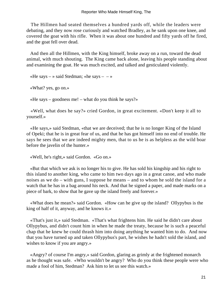The Hillmen had seated themselves a hundred yards off, while the leaders were debating, and they now rose curiously and watched Bradley, as he sank upon one knee, and covered the goat with his rifle. When it was about one hundred and fifty yards off he fired, and the goat fell over dead.

 And then all the Hillmen, with the King himself, broke away on a run, toward the dead animal, with much shouting. The King came back alone, leaving his people standing about and examining the goat. He was much excited, and talked and gesticulated violently.

```
«He says – » said Stedman; «he says – - »
 «What? yes, go on.» 
«He says – goodness me! – what do you think he says?»
```
 «Well, what does he say?» cried Gordon, in great excitement. «Don't keep it all to yourself.»

 «He says,» said Stedman, «that we are deceived; that he is no longer King of the Island of Opeki; that he is in great fear of us, and that he has got himself into no end of trouble. He says he sees that we are indeed mighty men, that to us he is as helpless as the wild boar before the javelin of the hunter.»

«Well, he's right,» said Gordon. «Go on.»

 «But that which we ask is no longer his to give. He has sold his kingship and his right to this island to another king, who came to him two days ago in a great canoe, and who made noises as we do – with guns, I suppose he means – and to whom he sold the island for a watch that he has in a bag around his neck. And that he signed a paper, and made marks on a piece of bark, to show that he gave up the island freely and forever.»

 «What does he mean?» said Gordon. «How can he give up the island? Ollypybus is the king of half of it, anyway, and he knows it.»

 «That's just it,» said Stedman. «That's what frightens him. He said he didn't care about Ollypybus, and didn't count him in when he made the treaty, because he is such a peaceful chap that he knew he could thrash him into doing anything he wanted him to do. And now that you have turned up and taken Ollypybus's part, he wishes he hadn't sold the island, and wishes to know if you are angry.»

 «Angry? of course I'm angry,» said Gordon, glaring as grimly at the frightened monarch as he thought was safe. «Who wouldn't be angry? Who do you think these people were who made a fool of him, Stedman? Ask him to let us see this watch.»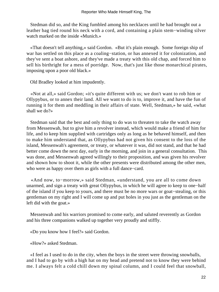Stedman did so, and the King fumbled among his necklaces until he had brought out a leather bag tied round his neck with a cord, and containing a plain stem−winding silver watch marked on the inside «Munich.»

 «That doesn't tell anything,» said Gordon. «But it's plain enough. Some foreign ship of war has settled on this place as a coaling−station, or has annexed it for colonization, and they've sent a boat ashore, and they've made a treaty with this old chap, and forced him to sell his birthright for a mess of porridge. Now, that's just like those monarchical pirates, imposing upon a poor old black.»

Old Bradley looked at him impudently.

 «Not at all,» said Gordon; «it's quite different with us; we don't want to rob him or Ollypybus, or to annex their land. All we want to do is to, improve it, and have the fun of running it for them and meddling in their affairs of state. Well, Stedman,» he said, «what shall we do?»

 Stedman said that the best and only thing to do was to threaten to take the watch away from Messenwah, but to give him a revolver instead, which would make a friend of him for life, and to keep him supplied with cartridges only as long as he behaved himself, and then to make him understand that, as Ollypybus had not given his consent to the loss of the island, Messenwah's agreement, or treaty, or whatever it was, did not stand, and that he had better come down the next day, early in the morning, and join in a general consultation. This was done, and Messenwah agreed willingly to their proposition, and was given his revolver and shown how to shoot it, while the other presents were distributed among the other men, who were as happy over them as girls with a full dance−card.

 «And now, to−morrow,» said Stedman, «understand, you are all to come down unarmed, and sign a treaty with great Ollypybus, in which he will agree to keep to one−half of the island if you keep to yours, and there must be no more wars or goat−stealing, or this gentleman on my right and I will come up and put holes in you just as the gentleman on the left did with the goat.»

 Messenwah and his warriors promised to come early, and saluted reverently as Gordon and his three companions walked up together very proudly and stiffly.

«Do you know how I feel?» said Gordon.

«How?» asked Stedman.

 «I feel as I used to do in the city, when the boys in the street were throwing snowballs, and I had to go by with a high hat on my head and pretend not to know they were behind me. I always felt a cold chill down my spinal column, and I could feel that snowball,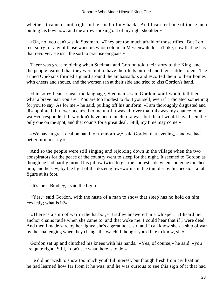whether it came or not, right in the small of my back. And I can feel one of those men pulling his bow now, and the arrow sticking out of my right shoulder.»

 «Oh, no, you can't,» said Stedman. «They are too much afraid of those rifles. But I do feel sorry for any of those warriors whom old man Messenwah doesn't like, now that he has that revolver. He isn't the sort to practise on goats.»

 There was great rejoicing when Stedman and Gordon told their story to the King, and the people learned that they were not to have their huts burned and their cattle stolen. The armed Opekians formed a guard around the ambassadors and escorted them to their homes with cheers and shouts, and the women ran at their side and tried to kiss Gordon's hand.

 «I'm sorry I can't speak the language, Stedman,» said Gordon, «or I would tell them what a brave man you are. You are too modest to do it yourself, even if I dictated something for you to say. As for me,» he said, pulling off his uniform, «I am thoroughly disgusted and disappointed. It never occurred to me until it was all over that this was my chance to be a war−correspondent. It wouldn't have been much of a war, but then I would have been the only one on the spot, and that counts for a great deal. Still, my time may come.»

 «We have a great deal on hand for to−morrow,» said Gordon that evening, «and we had better turn in early.»

 And so the people were still singing and rejoicing down in the village when the two conspirators for the peace of the country went to sleep for the night. It seemed to Gordon as though he had hardly turned his pillow twice to get the coolest side when someone touched him, and he saw, by the light of the dozen glow−worms in the tumbler by his bedside, a tall figure at its foot.

«It's me – Bradley,» said the figure.

 «Yes,» said Gordon, with the haste of a man to show that sleep has no hold on him; «exactly; what is it?»

 «There is a ship of war in the harbor,» Bradley answered in a whisper. «I heard her anchor chains rattle when she came to, and that woke me. I could hear that if I were dead. And then I made sure by her lights; she's a great boat, sir, and I can know she's a ship of war by the challenging when they change the watch. I thought you'd like to know, sir.»

 Gordon sat up and clutched his knees with his hands. «Yes, of course,» he said; «you are quite right. Still, I don't see what there is to do.»

 He did not wish to show too much youthful interest, but though fresh from civilization, he had learned how far from it he was, and he was curious to see this sign of it that had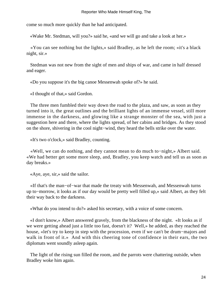come so much more quickly than he had anticipated.

«Wake Mr. Stedman, will you?» said he, «and we will go and take a look at her.»

 «You can see nothing but the lights,» said Bradley, as he left the room; «it's a black night, sir.»

 Stedman was not new from the sight of men and ships of war, and came in half dressed and eager.

«Do you suppose it's the big canoe Messenwah spoke of?» he said.

«I thought of that,» said Gordon.

 The three men fumbled their way down the road to the plaza, and saw, as soon as they turned into it, the great outlines and the brilliant lights of an immense vessel, still more immense in the darkness, and glowing like a strange monster of the sea, with just a suggestion here and there, where the lights spread, of her cabins and bridges. As they stood on the shore, shivering in the cool night−wind, they heard the bells strike over the water.

«It's two o'clock,» said Bradley, counting.

 «Well, we can do nothing, and they cannot mean to do much to−night,» Albert said. «We had better get some more sleep, and, Bradley, you keep watch and tell us as soon as day breaks.»

«Aye, aye, sir,» said the sailor.

 «If that's the man−of−war that made the treaty with Messenwah, and Messenwah turns up to−morrow, it looks as if our day would be pretty well filled up,» said Albert, as they felt their way back to the darkness.

«What do you intend to do?» asked his secretary, with a voice of some concern.

 «I don't know,» Albert answered gravely, from the blackness of the night. «It looks as if we were getting ahead just a little too fast, doesn't it? Well,» he added, as they reached the house, «let's try to keep in step with the procession, even if we can't be drum−majors and walk in front of it.» And with this cheering tone of confidence in their ears, the two diplomats went soundly asleep again.

 The light of the rising sun filled the room, and the parrots were chattering outside, when Bradley woke him again.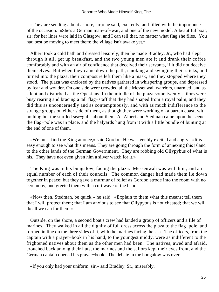«They are sending a boat ashore, sir,» he said, excitedly, and filled with the importance of the occasion. «She's a German man−of−war, and one of the new model. A beautiful boat, sir; for her lines were laid in Glasgow, and I can tell that, no matter what flag she flies. You had best be moving to meet them: the village isn't awake yet.»

 Albert took a cold bath and dressed leisurely; then he made Bradley, Jr., who had slept through it all, get up breakfast, and the two young men ate it and drank their coffee comfortably and with an air of confidence that deceived their servants, if it did not deceive themselves. But when they came down the path, smoking and swinging their sticks, and turned into the plaza, their composure left them like a mask, and they stopped where they stood. The plaza was enclosed by the natives gathered in whispering groups, and depressed by fear and wonder. On one side were crowded all the Messenwah warriors, unarmed, and as silent and disturbed as the Opekians. In the middle of the plaza some twenty sailors were busy rearing and bracing a tall flag−staff that they had shaped from a royal palm, and they did this as unconcernedly and as contemptuously, and with as much indifference to the strange groups on either side of them, as though they were working on a barren coast, with nothing but the startled sea−gulls about them. As Albert and Stedman came upon the scene, the flag−pole was in place, and the halyards hung from it with a little bundle of bunting at the end of one of them.

 «We must find the King at once,» said Gordon. He was terribly excited and angry. «It is easy enough to see what this means. They are going through the form of annexing this island to the other lands of the German Government. They are robbing old Ollypybus of what is his. They have not even given him a silver watch for it.»

 The King was in his bungalow, facing the plaza. Messenwah was with him, and an equal number of each of their councils. The common danger had made them lie down together in peace; but they gave a murmur of relief as Gordon strode into the room with no ceremony, and greeted them with a curt wave of the hand.

 «Now then, Stedman, be quick,» he said. «Explain to them what this means; tell them that I will protect them; that I am anxious to see that Ollypybus is not cheated; that we will do all we can for them.»

 Outside, on the shore, a second boat's crew had landed a group of officers and a file of marines. They walked in all the dignity of full dress across the plaza to the flag−pole, and formed in line on the three sides of it, with the marines facing the sea. The officers, from the captain with a prayer−book in his hand, to the youngest middy, were as indifferent to the frightened natives about them as the other men had been. The natives, awed and afraid, crouched back among their huts, the marines and the sailors kept their eyes front, and the German captain opened his prayer−book. The debate in the bungalow was over.

«If you only had your uniform, sir,» said Bradley, Sr., miserably.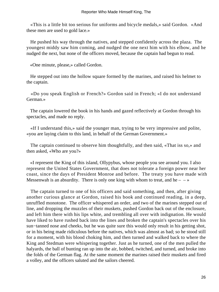«This is a little bit too serious for uniforms and bicycle medals,» said Gordon. «And these men are used to gold lace.»

 He pushed his way through the natives, and stepped confidently across the plaza. The youngest middy saw him coming, and nudged the one next him with his elbow, and he nudged the next, but none of the officers moved, because the captain had begun to read.

«One minute, please,» called Gordon.

 He stepped out into the hollow square formed by the marines, and raised his helmet to the captain.

 «Do you speak English or French?» Gordon said in French; «I do not understand German.»

 The captain lowered the book in his hands and gazed reflectively at Gordon through his spectacles, and made no reply.

 «If I understand this,» said the younger man, trying to be very impressive and polite, «you are laying claim to this land, in behalf of the German Government.»

 The captain continued to observe him thoughtfully, and then said, «That iss so,» and then asked, «Who are you?»

 «I represent the King of this island, Ollypybus, whose people you see around you. I also represent the United States Government, that does not tolerate a foreign power near her coast, since the days of President Monroe and before. The treaty you have made with Messenwah is an absurdity. There is only one king with whom to treat, and he  $- \rightarrow \infty$ 

 The captain turned to one of his officers and said something, and then, after giving another curious glance at Gordon, raised his book and continued reading, in a deep, unruffled monotone. The officer whispered an order, and two of the marines stepped out of line, and dropping the muzzles of their muskets, pushed Gordon back out of the enclosure, and left him there with his lips white, and trembling all over with indignation. He would have liked to have rushed back into the lines and broken the captain's spectacles over his sun−tanned nose and cheeks, but he was quite sure this would only result in his getting shot, or in his being made ridiculous before the natives, which was almost as bad; so he stood still for a moment, with his blood choking him, and then turned and walked back to where the King and Stedman were whispering together. Just as he turned, one of the men pulled the halyards, the ball of bunting ran up into the air, bobbed, twitched, and turned, and broke into the folds of the German flag. At the same moment the marines raised their muskets and fired a volley, and the officers saluted and the sailors cheered.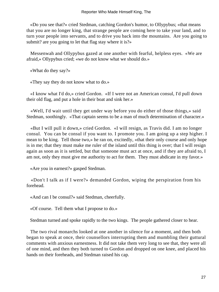«Do you see that?» cried Stedman, catching Gordon's humor, to Ollypybus; «that means that you are no longer king, that strange people are coming here to take your land, and to turn your people into servants, and to drive you back into the mountains. Are you going to submit? are you going to let that flag stay where it is?»

 Messenwah and Ollypybus gazed at one another with fearful, helpless eyes. «We are afraid,» Ollypybus cried; «we do not know what we should do.»

«What do they say?»

«They say they do not know what to do.»

 «I know what I'd do,» cried Gordon. «If I were not an American consul, I'd pull down their old flag, and put a hole in their boat and sink her.»

 «Well, I'd wait until they get under way before you do either of those things,» said Stedman, soothingly. «That captain seems to be a man of much determination of character.»

 «But I will pull it down,» cried Gordon. «I will resign, as Travis did. I am no longer consul. You can be consul if you want to. I promote you. I am going up a step higher. I mean to be king. Tell those two,» he ran on, excitedly, «that their only course and only hope is in me; that they must make me ruler of the island until this thing is over; that I will resign again as soon as it is settled, but that someone must act at once, and if they are afraid to, I am not, only they must give me authority to act for them. They must abdicate in my favor.»

«Are you in earnest?» gasped Stedman.

 «Don't I talk as if I were?» demanded Gordon, wiping the perspiration from his forehead.

«And can I be consul?» said Stedman, cheerfully.

«Of course. Tell them what I propose to do.»

Stedman turned and spoke rapidly to the two kings. The people gathered closer to hear.

 The two rival monarchs looked at one another in silence for a moment, and then both began to speak at once, their counsellors interrupting them and mumbling their guttural comments with anxious earnestness. It did not take them very long to see that, they were all of one mind, and then they both turned to Gordon and dropped on one knee, and placed his hands on their foreheads, and Stedman raised his cap.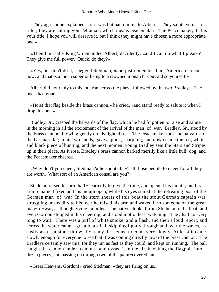«They agree,» he explained, for it was but pantomime to Albert. «They salute you as a ruler; they are calling you Tellaman, which means peacemaker. The Peacemaker, that is your title. I hope you will deserve it, but I think they might have chosen a more appropriate one.»

 «Then I'm really King?» demanded Albert, decidedly, «and I can do what I please? They give me full power. Quick, do they?»

 «Yes, but don't do it,» begged Stedman, «and just remember I am American consul now, and that is a much superior being to a crowned monarch; you said so yourself.»

 Albert did not reply to this, but ran across the plaza, followed by the two Bradleys. The boats had gone.

 «Hoist that flag beside the brass cannon,» he cried, «and stand ready to salute it when I drop this one.»

 Bradley, Jr., grasped the halyards of the flag, which he had forgotten to raise and salute in the morning in all the excitement of the arrival of the man−of−war. Bradley, Sr., stood by the brass cannon, blowing gently on his lighted fuse. The Peacemaker took the halyards of the German flag in his two hands, gave a quick, sharp tug, and down came the red, white, and black piece of bunting, and the next moment young Bradley sent the Stars and Stripes up in their place. As it rose, Bradley's brass cannon barked merrily like a little bull−dog, and the Peacemaker cheered.

 «Why don't you cheer, Stedman?» he shouted. «Tell those people to cheer for all they are worth. What sort of an American consul are you?»

 Stedman raised his arm half−heartedly to give the time, and opened his mouth; but his arm remained fixed and his mouth open, while his eyes stared at the retreating boat of the German man−of−war. In the stern sheets of this boat the stout German captain was struggling unsteadily to his feet; he raised his arm and waved it to someone on the great man−of−war, as though giving an order. The natives looked from Stedman to the boat, and even Gordon stopped in his cheering, and stood motionless, watching. They had not very long to wait. There was a puff of white smoke, and a flash, and then a loud report, and across the water came a great black ball skipping lightly through and over the waves, as easily as a flat stone thrown by a boy. It seemed to come very slowly. At least it came slowly enough for everyone to see that it was coming directly toward the brass cannon. The Bradleys certainly saw this, for they ran as fast as they could, and kept on running. The ball caught the cannon under its mouth and tossed it in the air, knocking the flagpole into a dozen pieces, and passing on through two of the palm−covered huts.

«Great Heavens, Gordon!» cried Stedman; «they are firing on us.»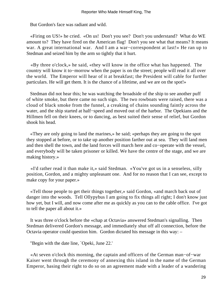But Gordon's face was radiant and wild.

 «Firing on US!» he cried. «On us! Don't you see? Don't you understand? What do WE amount to? They have fired on the American flag! Don't you see what that means? It means war. A great international war. And I am a war−correspondent at last!» He ran up to Stedman and seized him by the arm so tightly that it hurt.

 «By three o'clock,» he said, «they will know in the office what has happened. The country will know it to−morrow when the paper is on the street; people will read it all over the world. The Emperor will hear of it at breakfast; the President will cable for further particulars. He will get them. It is the chance of a lifetime, and we are on the spot!»

 Stedman did not hear this; he was watching the broadside of the ship to see another puff of white smoke, but there came no such sign. The two rowboats were raised, there was a cloud of black smoke from the funnel, a creaking of chains sounding faintly across the water, and the ship started at half−speed and moved out of the harbor. The Opekians and the Hillmen fell on their knees, or to dancing, as best suited their sense of relief, but Gordon shook his head.

 «They are only going to land the marines,» he said; «perhaps they are going to the spot they stopped at before, or to take up another position farther out at sea. They will land men and then shell the town, and the land forces will march here and co−operate with the vessel, and everybody will be taken prisoner or killed. We have the centre of the stage, and we are making history.»

 «I'd rather read it than make it,» said Stedman. «You've got us in a senseless, silly position, Gordon, and a mighty unpleasant one. And for no reason that I can see, except to make copy for your paper.»

 «Tell those people to get their things together,» said Gordon, «and march back out of danger into the woods. Tell Ollypybus I am going to fix things all right; I don't know just how yet, but I will, and now come after me as quickly as you can to the cable office. I've got to tell the paper all about it.»

 It was three o'clock before the «chap at Octavia» answered Stedman's signalling. Then Stedman delivered Gordon's message, and immediately shut off all connection, before the Octavia operator could question him. Gordon dictated his message in this way: –

"Begin with the date line, `Opeki, June 22.'

 «At seven o'clock this morning, the captain and officers of the German man−of−war Kaiser went through the ceremony of annexing this island in the name of the German Emperor, basing their right to do so on an agreement made with a leader of a wandering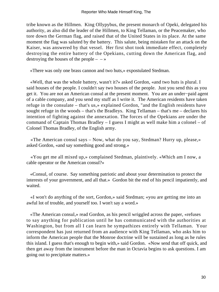tribe known as the Hillmen. King Ollypybus, the present monarch of Opeki, delegated his authority, as also did the leader of the Hillmen, to King Tellaman, or the Peacemaker, who tore down the German flag, and raised that of the United States in its place. At the same moment the flag was saluted by the battery. This salute, being mistaken for an attack on the Kaiser, was answered by that vessel. Her first shot took immediate effect, completely destroying the entire battery of the Opekians, cutting down the American flag, and destroying the houses of the people  $- - \infty$ 

«There was only one brass cannon and two huts,» expostulated Stedman.

 «Well, that was the whole battery, wasn't it?» asked Gordon, «and two huts is plural. I said houses of the people. I couldn't say two houses of the people. Just you send this as you get it. You are not an American consul at the present moment. You are an under−paid agent of a cable company, and you send my stuff as I write it. The American residents have taken refuge in the consulate – that's us,» explained Gordon, "and the English residents have sought refuge in the woods – that's the Bradleys. King Tellaman – that's me – declares his intention of fighting against the annexation. The forces of the Opekians are under the command of Captain Thomas Bradley – I guess I might as well make him a colonel – of Colonel Thomas Bradley, of the English army.

 «The American consul says – Now, what do you say, Stedman? Hurry up, please,» asked Gordon, «and say something good and strong.»

 «You get me all mixed up,» complained Stedman, plaintively. «Which am I now, a cable operator or the American consul?»

 «Consul, of course. Say something patriotic and about your determination to protect the interests of your government, and all that.» Gordon bit the end of his pencil impatiently, and waited.

 «I won't do anything of the sort, Gordon,» said Stedman; «you are getting me into an awful lot of trouble, and yourself too. I won't say a word.»

 «The American consul,» read Gordon, as his pencil wriggled across the paper, «refuses to say anything for publication until he has communicated with the authorities at Washington, but from all I can learn he sympathizes entirely with Tellaman. Your correspondent has just returned from an audience with King Tellaman, who asks him to inform the American people that the Monroe doctrine will be sustained as long as he rules this island. I guess that's enough to begin with,» said Gordon. «Now send that off quick, and then get away from the instrument before the man in Octavia begins to ask questions. I am going out to precipitate matters.»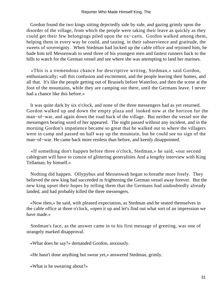Gordon found the two kings sitting dejectedly side by side, and gazing grimly upon the disorder of the village, from which the people were taking their leave as quickly as they could get their few belongings piled upon the ox−carts. Gordon walked among them, helping them in every way he could, and tasting, in their subservience and gratitude, the sweets of sovereignty. When Stedman had locked up the cable office and rejoined him, he bade him tell Messenwah to send three of his youngest men and fastest runners back to the hills to watch for the German vessel and see where she was attempting to land her marines.

 «This is a tremendous chance for descriptive writing, Stedman,» said Gordon, enthusiastically; «all this confusion and excitement, and the people leaving their homes, and all that. It's like the people getting out of Brussels before Waterloo, and then the scene at the foot of the mountains, while they are camping out there, until the Germans leave. I never had a chance like this before.»

 It was quite dark by six o'clock, and none of the three messengers had as yet returned. Gordon walked up and down the empty plaza and looked now at the horizon for the man−of−war, and again down the road back of the village. But neither the vessel nor the messengers bearing word of her appeared. The night passed without any incident, and in the morning Gordon's impatience became so great that he walked out to where the villagers were in camp and passed on half way up the mountain, but he could see no sign of the man−of−war. He came back more restless than before, and keenly disappointed.

 «If something don't happen before three o'clock, Stedman,» he said, «our second cablegram will have to consist of glittering generalities And a lengthy interview with King Tellaman, by himself.»

 Nothing did happen. Ollypybus and Messenwah began to breathe more freely. They believed the new king had succeeded in frightening the German vessel away forever. But the new king upset their hopes by telling them that the Germans had undoubtedly already landed, and had probably killed the three messengers.

 «Now then,» he said, with pleased expectation, as Stedman and he seated themselves in the cable office at three o'clock, «open it up and let's find out what sort of an impression we have made.»

 Stedman's face, as the answer came in to his first message of greeting, was one of strangely marked disapproval.

«What does he say?» demanded Gordon, anxiously.

«He hasn't done anything but swear yet,» answered Stedman, grimly.

«What is he swearing about?»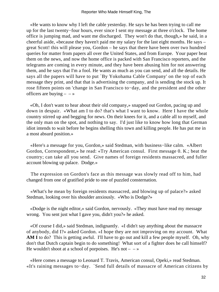«He wants to know why I left the cable yesterday. He says he has been trying to call me up for the last twenty−four hours, ever since I sent my message at three o'clock. The home office is jumping mad, and want me discharged. They won't do that, though,» he said, in a cheerful aside, «because they haven't paid me my salary for the last eight months. He says – great Scott! this will please you, Gordon – he says that there have been over two hundred queries for matter from papers all over the United States, and from Europe. Your paper beat them on the news, and now the home office is packed with San Francisco reporters, and the telegrams are coming in every minute, and they have been abusing him for not answering them, and he says that I'm a fool. He wants as much as you can send, and all the details. He says all the papers will have to put `By Yokohama Cable Company' on the top of each message they print, and that that is advertising the company, and is sending the stock up. It rose fifteen points on 'change in San Francisco to−day, and the president and the other officers are buying  $\rightarrow$ 

 «Oh, I don't want to hear about their old company,» snapped out Gordon, pacing up and down in despair. «What am I to do? that's what I want to know. Here I have the whole country stirred up and begging for news. On their knees for it, and a cable all to myself, and the only man on the spot, and nothing to say. I'd just like to know how long that German idiot intends to wait before he begins shelling this town and killing people. He has put me in a most absurd position.»

 «Here's a message for you, Gordon,» said Stedman, with business−like calm. «Albert Gordon, Correspondent,» he read: «Try American consul. First message 0. K.; beat the country; can take all you send. Give names of foreign residents massacred, and fuller account blowing up palace. Dodge.»

 The expression on Gordon's face as this message was slowly read off to him, had changed from one of gratified pride to one of puzzled consternation.

 «What's he mean by foreign residents massacred, and blowing up of palace?» asked Stedman, looking over his shoulder anxiously. «Who is Dodge?»

 «Dodge is the night editor,» said Gordon, nervously. «They must have read my message wrong. You sent just what I gave you, didn't you?» he asked.

 «Of course I did,» said Stedman, indignantly. «I didn't say anything about the massacre of anybody, did I?» asked Gordon. «I hope they are not improving on my account. What AM I to do? This is getting awful. I'll have to go out and kill a few people myself. Oh, why don't that Dutch captain begin to do something! What sort of a fighter does he call himself? He wouldn't shoot at a school of porpoises. He's not  $- \rightarrow \infty$ 

 «Here comes a message to Leonard T. Travis, American consul, Opeki,» read Stedman. «It's raining messages to−day. `Send full details of massacre of American citizens by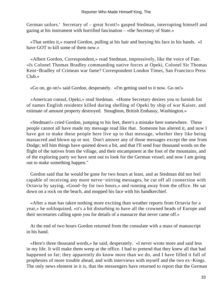German sailors.' Secretary of – great Scott!» gasped Stedman, interrupting himself and gazing at his instrument with horrified fascination – «the Secretary of State.»

 «That settles it,» roared Gordon, pulling at his hair and burying his face in his hands. «I have GOT to kill some of them now.»

 «Albert Gordon, Correspondent,» read Stedman, impressively, like the voice of Fate. «Is Colonel Thomas Bradley commanding native forces at Opeki, Colonel Sir Thomas Kent−Bradley of Crimean war fame? Correspondent London Times, San Francisco Press Club.»

«Go on, go on!» said Gordon, desperately. «I'm getting used to it now. Go on!»

 «American consul, Opeki,» read Stedman. «Home Secretary desires you to furnish list of names English residents killed during shelling of Opeki by ship of war Kaiser, and estimate of amount property destroyed. Stoughton, British Embassy, Washington.»

 «Stedman!» cried Gordon, jumping to his feet, there's a mistake here somewhere. These people cannot all have made my message read like that. Someone has altered it, and now I have got to make these people here live up to that message, whether they like being massacred and blown up or not. Don't answer any of those messages except the one from Dodge; tell him things have quieted down a bit, and that I'll send four thousand words on the flight of the natives from the village, and their encampment at the foot of the mountains, and of the exploring party we have sent out to look for the German vessel; and now I am going out to make something happen."

 Gordon said that he would be gone for two hours at least, and as Stedman did not feel capable of receiving any more nerve−stirring messages, he cut off all connection with Octavia by saying, «Good−by for two hours,» and running away from the office. He sat down on a rock on the beach, and mopped his face with his handkerchief.

 «After a man has taken nothing more exciting than weather reports from Octavia for a year,» he soliloquized, «it's a bit disturbing to have all the crowned heads of Europe and their secretaries calling upon you for details of a massacre that never came off.»

 At the end of two hours Gordon returned from the consulate with a mass of manuscript in his hand.

 «Here's three thousand words,» he said, desperately. «I never wrote more and said less in my life. It will make them weep at the office. I had to pretend that they knew all that had happened so far; they apparently do know more than we do, and I have filled it full of prophesies of more trouble ahead, and with interviews with myself and the two ex−Kings. The only news element in it is, that the messengers have returned to report that the German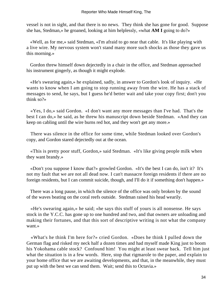vessel is not in sight, and that there is no news. They think she has gone for good. Suppose she has, Stedman,» he groaned, looking at him helplessly, «what **AM I** going to do?»

 «Well, as for me,» said Stedman, «I'm afraid to go near that cable. It's like playing with a live wire. My nervous system won't stand many more such shocks as those they gave us this morning.»

 Gordon threw himself down dejectedly in a chair in the office, and Stedman approached his instrument gingerly, as though it might explode.

 «He's swearing again,» he explained, sadly, in answer to Gordon's look of inquiry. «He wants to know when I am going to stop running away from the wire. He has a stack of messages to send, he says, but I guess he'd better wait and take your copy first; don't you think so?»

 «Yes, I do,» said Gordon. «I don't want any more messages than I've had. That's the best I can do,» he said, as he threw his manuscript down beside Stedman. «And they can keep on cabling until the wire burns red hot, and they won't get any more.»

 There was silence in the office for some time, while Stedman looked over Gordon's copy, and Gordon stared dejectedly out at the ocean.

 «This is pretty poor stuff, Gordon,» said Stedman. «It's like giving people milk when they want brandy.»

 «Don't you suppose I know that?» growled Gordon. «It's the best I can do, isn't it? It's not my fault that we are not all dead now. I can't massacre foreign residents if there are no foreign residents, but I can commit suicide, though, and I'll do it if something don't happen.»

 There was a long pause, in which the silence of the office was only broken by the sound of the waves beating on the coral reefs outside. Stedman raised his head wearily.

 «He's swearing again,» he said; «he says this stuff of yours is all nonsense. He says stock in the Y.C.C. has gone up to one hundred and two, and that owners are unloading and making their fortunes, and that this sort of descriptive writing is not what the company want.»

 «What's he think I'm here for?» cried Gordon. «Does he think I pulled down the German flag and risked my neck half a dozen times and had myself made King just to boom his Yokohama cable stock? Confound him! You might at least swear back. Tell him just what the situation is in a few words. Here, stop that rigmarole to the paper, and explain to your home office that we are awaiting developments, and that, in the meanwhile, they must put up with the best we can send them. Wait; send this to Octavia.»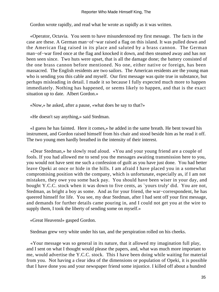Gordon wrote rapidly, and read what he wrote as rapidly as it was written.

 «Operator, Octavia. You seem to have misunderstood my first message. The facts in the case are these. A German man−of−war raised a flag on this island. It was pulled down and the American flag raised in its place and saluted by a brass cannon. The German man−of−war fired once at the flag and knocked it down, and then steamed away and has not been seen since. Two huts were upset, that is all the damage done; the battery consisted of the one brass cannon before mentioned. No one, either native or foreign, has been massacred. The English residents are two sailors. The American residents are the young man who is sending you this cable and myself. Our first message was quite true in substance, but perhaps misleading in detail. I made it so because I fully expected much more to happen immediately. Nothing has happened, or seems likely to happen, and that is the exact situation up to date. Albert Gordon.»

«Now,» he asked, after a pause, «what does he say to that?»

«He doesn't say anything,» said Stedman.

 «I guess he has fainted. Here it comes,» he added in the same breath. He bent toward his instrument, and Gordon raised himself from his chair and stood beside him as he read it off. The two young men hardly breathed in the intensity of their interest.

 «Dear Stedman,» he slowly read aloud. «You and your young friend are a couple of fools. If you had allowed me to send you the messages awaiting transmission here to you, you would not have sent me such a confession of guilt as you have just done. You had better leave Opeki at once or hide in the hills. I am afraid I have placed you in a somewhat compromising position with the company, which is unfortunate, especially as, if I am not mistaken, they owe you some back pay. You should have been wiser in your day, and bought Y.C.C. stock when it was down to five cents, as `yours truly' did. You are not, Stedman, as bright a boy as some. And as for your friend, the war−correspondent, he has queered himself for life. You see, my dear Stedman, after I had sent off your first message, and demands for further details came pouring in, and I could not get you at the wire to supply them, I took the liberty of sending some on myself.»

«Great Heavensl» gasped Gordon.

Stedman grew very white under his tan, and the perspiration rolled on his cheeks.

 «Your message was so general in its nature, that it allowed my imagination full play, and I sent on what I thought would please the papers, and, what was much more important to me, would advertise the Y.C.C. stock. This I have been doing while waiting for material from you. Not having a clear idea of the dimensions or population of Opeki, it is possible that I have done you and your newspaper friend some injustice. I killed off about a hundred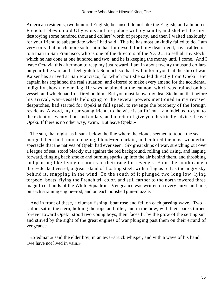American residents, two hundred English, because I do not like the English, and a hundred French. I blew up old Ollypybus and his palace with dynamite, and shelled the city, destroying some hundred thousand dollars' worth of property, and then I waited anxiously for your friend to substantiate what I had said. This he has most unkindly failed to do. I am very sorry, but much more so for him than for myself, for I, my dear friend, have cabled on to a man in San Francisco, who is one of the directors of the Y.C.C., to sell all my stock, which he has done at one hundred and two, and he is keeping the money until I come. And I leave Octavia this afternoon to reap my just reward. I am in about twenty thousand dollars on your little war, and I feel grateful. So much so that I will inform you that the ship of war Kaiser has arrived at San Francisco, for which port she sailed directly from Opeki. Her captain has explained the real situation, and offered to make every amend for the accidental indignity shown to our flag. He says he aimed at the cannon, which was trained on his vessel, and which had first fired on him. But you must know, my dear Stedman, that before his arrival, war−vessels belonging to the several powers mentioned in my revised despatches, had started for Opeki at full speed, to revenge the butchery of the foreign residents. A word, my dear young friend, to the wise is sufficient. I am indebted to you to the extent of twenty thousand dollars, and in return I give you this kindly advice. Leave Opeki. If there is no other way, swim. But leave Opeki.»

 The sun, that night, as it sank below the line where the clouds seemed to touch the sea, merged them both into a blazing, blood−red curtain, and colored the most wonderful spectacle that the natives of Opeki had ever seen. Six great ships of war, stretching out over a league of sea, stood blackly out against the red background, rolling and rising, and leaping forward, flinging back smoke and burning sparks up into the air behind them, and throbbing and panting like living creatures in their race for revenge. From the south came a three−decked vessel, a great island of floating steel, with a flag as red as the angry sky behind it, snapping in the wind. To the south of it plunged two long low−lying torpedo−boats, flying the French tri−color, and still farther to the north towered three magnificent hulls of the White Squadron. Vengeance was written on every curve and line, on each straining engine−rod, and on each polished gun−muzzle.

 And in front of these, a clumsy fishing−boat rose and fell on each passing wave. Two sailors sat in the stern, holding the rope and tiller, and in the bow, with their backs turned forever toward Opeki, stood two young boys, their faces lit by the glow of the setting sun and stirred by the sight of the great engines of war plunging past them on their errand of vengeance.

 «Stedman,» said the elder boy, in an awe−struck whisper, and with a wave of his hand, «we have not lived in vain.»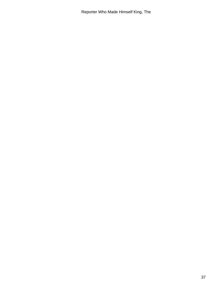Reporter Who Made Himself King, The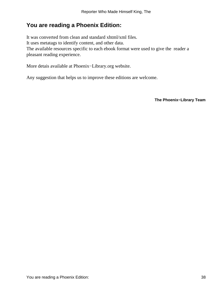## <span id="page-38-0"></span>**You are reading a Phoenix Edition:**

It was converted from clean and standard xhtml/xml files. It uses metatags to identify content, and other data. The available resources specific to each ebook format were used to give the reader a pleasant reading experience.

More detais available at Phoenix−Library.org website.

Any suggestion that helps us to improve these editions are welcome.

**The Phoenix−Library Team**